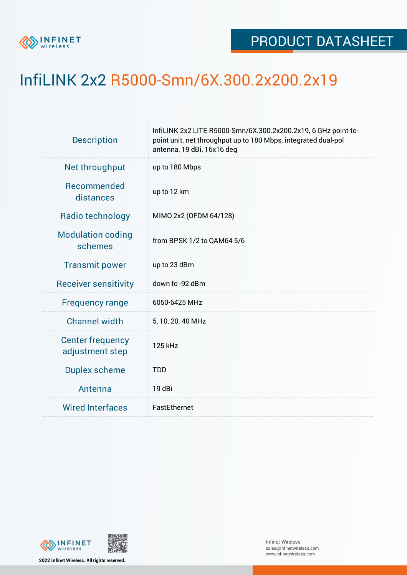

## InfiLINK 2x2 R5000-Smn/6X.300.2x200.2x19

| <b>Description</b>                         | InfiLINK 2x2 LITE R5000-Smn/6X.300.2x200.2x19, 6 GHz point-to-<br>point unit, net throughput up to 180 Mbps, integrated dual-pol<br>antenna, 19 dBi, 16x16 deg |  |  |  |  |
|--------------------------------------------|----------------------------------------------------------------------------------------------------------------------------------------------------------------|--|--|--|--|
| Net throughput                             | up to 180 Mbps                                                                                                                                                 |  |  |  |  |
| Recommended<br>distances                   | up to 12 km                                                                                                                                                    |  |  |  |  |
| Radio technology                           | MIMO 2x2 (OFDM 64/128)                                                                                                                                         |  |  |  |  |
| <b>Modulation coding</b><br>schemes        | from BPSK 1/2 to QAM64 5/6                                                                                                                                     |  |  |  |  |
| <b>Transmit power</b>                      | up to 23 dBm                                                                                                                                                   |  |  |  |  |
| <b>Receiver sensitivity</b>                | down to -92 dBm                                                                                                                                                |  |  |  |  |
| <b>Frequency range</b>                     | 6050-6425 MHz                                                                                                                                                  |  |  |  |  |
| <b>Channel width</b>                       | 5, 10, 20, 40 MHz                                                                                                                                              |  |  |  |  |
| <b>Center frequency</b><br>adjustment step | 125 kHz                                                                                                                                                        |  |  |  |  |
| <b>Duplex scheme</b>                       | <b>TDD</b>                                                                                                                                                     |  |  |  |  |
| Antenna                                    | 19 dBi                                                                                                                                                         |  |  |  |  |
| <b>Wired Interfaces</b>                    | FastEthernet                                                                                                                                                   |  |  |  |  |
|                                            |                                                                                                                                                                |  |  |  |  |



**2022 Infinet Wireless. All rights reserved.**

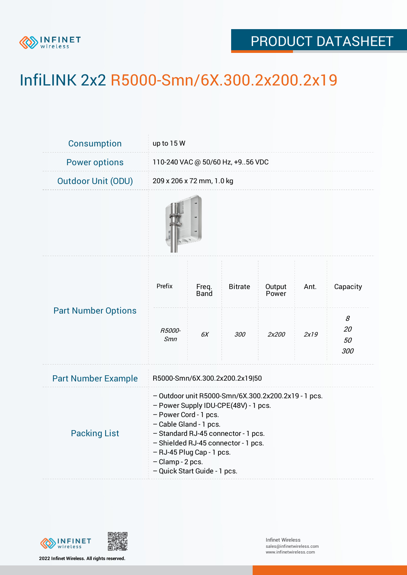

## PRODUCT DATASHEET

## InfiLINK 2x2 R5000-Smn/6X.300.2x200.2x19

| Consumption                | up to 15 W                                                                                                                                                                                                                                                                                                    |                      |                |                 |      |                      |  |  |
|----------------------------|---------------------------------------------------------------------------------------------------------------------------------------------------------------------------------------------------------------------------------------------------------------------------------------------------------------|----------------------|----------------|-----------------|------|----------------------|--|--|
| <b>Power options</b>       | 110-240 VAC @ 50/60 Hz, +956 VDC                                                                                                                                                                                                                                                                              |                      |                |                 |      |                      |  |  |
| <b>Outdoor Unit (ODU)</b>  | 209 x 206 x 72 mm, 1.0 kg                                                                                                                                                                                                                                                                                     |                      |                |                 |      |                      |  |  |
|                            |                                                                                                                                                                                                                                                                                                               |                      |                |                 |      |                      |  |  |
| <b>Part Number Options</b> | Prefix                                                                                                                                                                                                                                                                                                        | Freq.<br><b>Band</b> | <b>Bitrate</b> | Output<br>Power | Ant. | Capacity             |  |  |
|                            | R5000-<br>Smn                                                                                                                                                                                                                                                                                                 | 6X                   | 300            | 2x200           | 2x19 | 8<br>20<br>50<br>300 |  |  |
| <b>Part Number Example</b> | R5000-Smn/6X.300.2x200.2x19 50                                                                                                                                                                                                                                                                                |                      |                |                 |      |                      |  |  |
| <b>Packing List</b>        | - Outdoor unit R5000-Smn/6X.300.2x200.2x19 - 1 pcs.<br>- Power Supply IDU-CPE(48V) - 1 pcs.<br>- Power Cord - 1 pcs.<br>- Cable Gland - 1 pcs.<br>- Standard RJ-45 connector - 1 pcs.<br>- Shielded RJ-45 connector - 1 pcs.<br>- RJ-45 Plug Cap - 1 pcs.<br>- Clamp - 2 pcs.<br>- Quick Start Guide - 1 pcs. |                      |                |                 |      |                      |  |  |

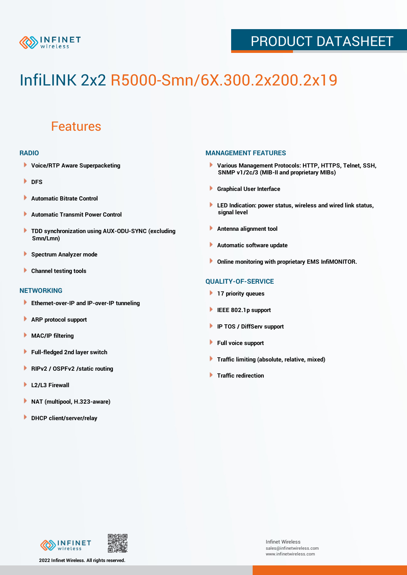

## PRODUCT DATASHEET

# InfiLINK 2x2 R5000-Smn/6X.300.2x200.2x19

### Features

#### **RADIO**

- **Voice/RTP Aware Superpacketing**
- **DFS**
- **Automatic Bitrate Control** Þ
- Þ **Automatic Transmit Power Control**
- ь **TDD synchronization using AUX-ODU-SYNC (excluding Smn/Lmn)**
- **Spectrum Analyzer mode** ۰
- **Channel testing tools** ١

#### **NETWORKING**

- **Ethernet-over-IP and IP-over-IP tunneling**
- Þ **ARP protocol support**
- ۱ **MAC/IP filtering**
- Þ **Full-fledged 2nd layer switch**
- Þ **RIPv2 / OSPFv2 /static routing**
- **L2/L3 Firewall** Þ
- **NAT (multipool, H.323-aware)** Þ
- Þ **DHCP client/server/relay**

#### **MANAGEMENT FEATURES**

- **Various Management Protocols: HTTP, HTTPS, Telnet, SSH, SNMP v1/2c/3 (MIB-II and proprietary MIBs)**
- **Graphical User Interface**
- **LED Indication: power status, wireless and wired link status, signal level**
- **Antenna alignment tool**
- ٠ **Automatic software update**
- **Online monitoring with proprietary EMS InfiMONITOR.**

#### **QUALITY-OF-SERVICE**

- **17 priority queues**
- **IEEE 802.1p support**
- **IP TOS / DiffServ support**
- ٠ **Full voice support**
- **Traffic limiting (absolute, relative, mixed)** ٠
- **Traffic redirection**